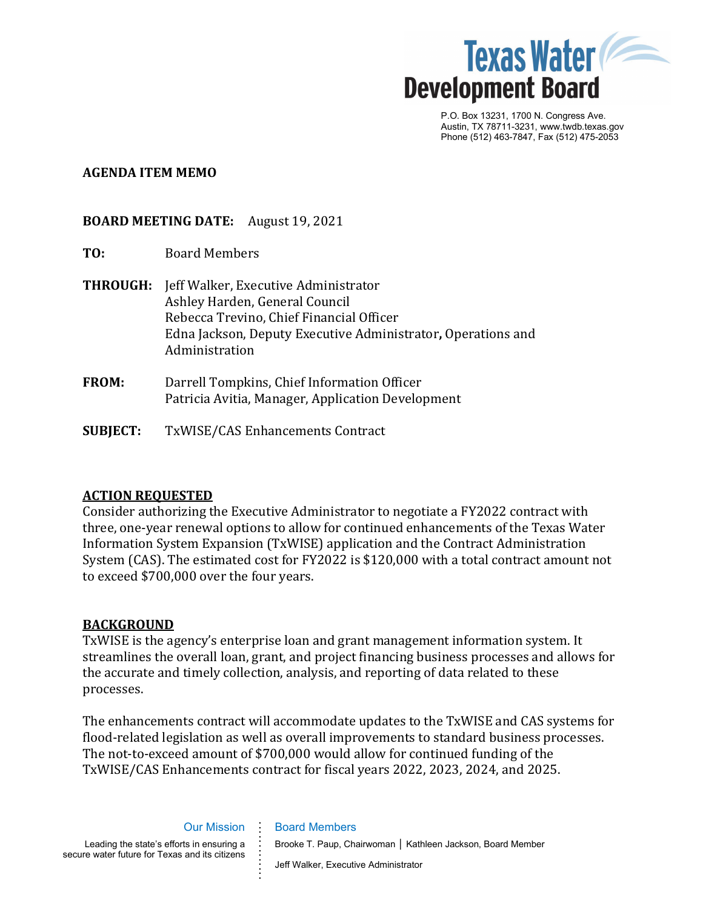

P.O. Box 13231, 1700 N. Congress Ave. Austin, TX 78711-3231, www.twdb.texas.gov Phone (512) 463-7847, Fax (512) 475-2053

#### **AGENDA ITEM MEMO**

## **BOARD MEETING DATE:** August 19, 2021

- **TO:** Board Members
- **THROUGH:** Jeff Walker, Executive Administrator Ashley Harden, General Council Rebecca Trevino, Chief Financial Officer Edna Jackson, Deputy Executive Administrator**,** Operations and Administration
- **FROM:** Darrell Tompkins, Chief Information Officer Patricia Avitia, Manager, Application Development
- **SUBJECT:** TxWISE/CAS Enhancements Contract

# **ACTION REQUESTED**

Consider authorizing the Executive Administrator to negotiate a FY2022 contract with three, one-year renewal options to allow for continued enhancements of the Texas Water Information System Expansion (TxWISE) application and the Contract Administration System (CAS). The estimated cost for FY2022 is \$120,000 with a total contract amount not to exceed \$700,000 over the four years.

#### **BACKGROUND**

TxWISE is the agency's enterprise loan and grant management information system. It streamlines the overall loan, grant, and project financing business processes and allows for the accurate and timely collection, analysis, and reporting of data related to these processes.

The enhancements contract will accommodate updates to the TxWISE and CAS systems for flood-related legislation as well as overall improvements to standard business processes. The not-to-exceed amount of \$700,000 would allow for continued funding of the TxWISE/CAS Enhancements contract for fiscal years 2022, 2023, 2024, and 2025.

Our Mission

**. . . . . . . . . . . . .** 

Leading the state's efforts in ensuring a secure water future for Texas and its citizens

# Jeff Walker, Executive Administrator

Brooke T. Paup, Chairwoman │ Kathleen Jackson, Board Member

Board Members